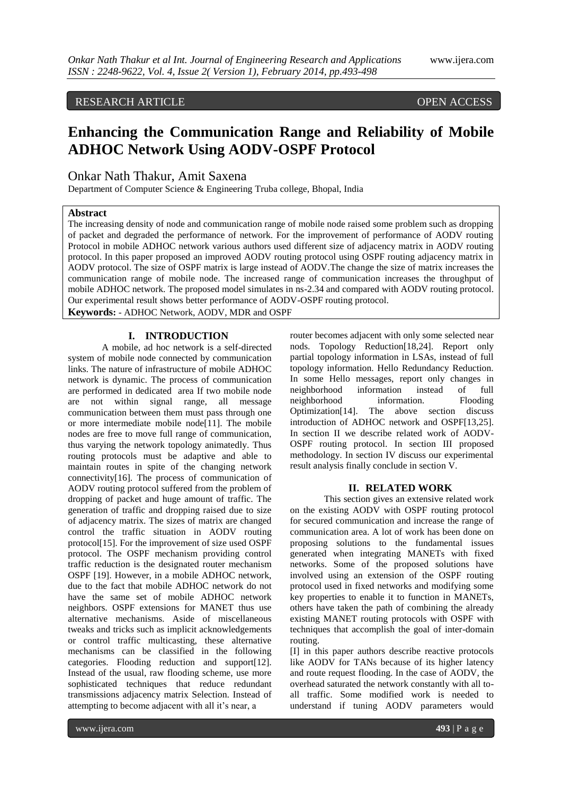# RESEARCH ARTICLE OPEN ACCESS

# **Enhancing the Communication Range and Reliability of Mobile ADHOC Network Using AODV-OSPF Protocol**

# Onkar Nath Thakur, Amit Saxena

Department of Computer Science & Engineering Truba college, Bhopal, India

#### **Abstract**

The increasing density of node and communication range of mobile node raised some problem such as dropping of packet and degraded the performance of network. For the improvement of performance of AODV routing Protocol in mobile ADHOC network various authors used different size of adjacency matrix in AODV routing protocol. In this paper proposed an improved AODV routing protocol using OSPF routing adjacency matrix in AODV protocol. The size of OSPF matrix is large instead of AODV.The change the size of matrix increases the communication range of mobile node. The increased range of communication increases the throughput of mobile ADHOC network. The proposed model simulates in ns-2.34 and compared with AODV routing protocol. Our experimental result shows better performance of AODV-OSPF routing protocol.

**Keywords:** - ADHOC Network, AODV, MDR and OSPF

#### **I. INTRODUCTION**

A mobile, ad hoc network is a self-directed system of mobile node connected by communication links. The nature of infrastructure of mobile ADHOC network is dynamic. The process of communication are performed in dedicated area If two mobile node are not within signal range, all message communication between them must pass through one or more intermediate mobile node[11]. The mobile nodes are free to move full range of communication, thus varying the network topology animatedly. Thus routing protocols must be adaptive and able to maintain routes in spite of the changing network connectivity[16]. The process of communication of AODV routing protocol suffered from the problem of dropping of packet and huge amount of traffic. The generation of traffic and dropping raised due to size of adjacency matrix. The sizes of matrix are changed control the traffic situation in AODV routing protocol[15]. For the improvement of size used OSPF protocol. The OSPF mechanism providing control traffic reduction is the designated router mechanism OSPF [19]. However, in a mobile ADHOC network, due to the fact that mobile ADHOC network do not have the same set of mobile ADHOC network neighbors. OSPF extensions for MANET thus use alternative mechanisms. Aside of miscellaneous tweaks and tricks such as implicit acknowledgements or control traffic multicasting, these alternative mechanisms can be classified in the following categories. Flooding reduction and support[12]. Instead of the usual, raw flooding scheme, use more sophisticated techniques that reduce redundant transmissions adjacency matrix Selection. Instead of attempting to become adjacent with all it's near, a

router becomes adjacent with only some selected near nods. Topology Reduction[18,24]. Report only partial topology information in LSAs, instead of full topology information. Hello Redundancy Reduction. In some Hello messages, report only changes in neighborhood information instead of full neighborhood information. Flooding Optimization[14]. The above section discuss introduction of ADHOC network and OSPF[13,25]. In section II we describe related work of AODV-OSPF routing protocol. In section III proposed methodology. In section IV discuss our experimental result analysis finally conclude in section V.

### **II. RELATED WORK**

This section gives an extensive related work on the existing AODV with OSPF routing protocol for secured communication and increase the range of communication area. A lot of work has been done on proposing solutions to the fundamental issues generated when integrating MANETs with fixed networks. Some of the proposed solutions have involved using an extension of the OSPF routing protocol used in fixed networks and modifying some key properties to enable it to function in MANETs, others have taken the path of combining the already existing MANET routing protocols with OSPF with techniques that accomplish the goal of inter-domain routing.

[I] in this paper authors describe reactive protocols like AODV for TANs because of its higher latency and route request flooding. In the case of AODV, the overhead saturated the network constantly with all toall traffic. Some modified work is needed to understand if tuning AODV parameters would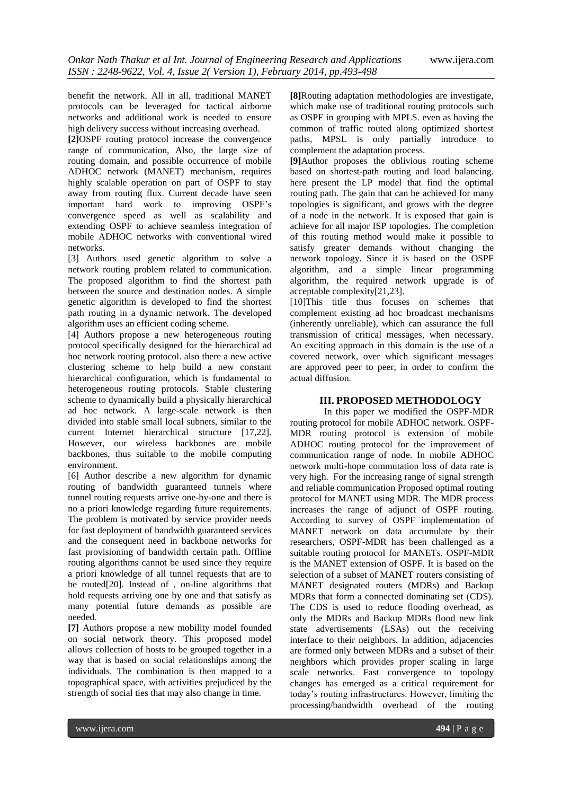benefit the network. All in all, traditional MANET protocols can be leveraged for tactical airborne networks and additional work is needed to ensure high delivery success without increasing overhead.

**[2]**OSPF routing protocol increase the convergence range of communication, Also, the large size of routing domain, and possible occurrence of mobile ADHOC network (MANET) mechanism, requires highly scalable operation on part of OSPF to stay away from routing flux. Current decade have seen important hard work to improving OSPF's convergence speed as well as scalability and extending OSPF to achieve seamless integration of mobile ADHOC networks with conventional wired networks.

[3] Authors used genetic algorithm to solve a network routing problem related to communication. The proposed algorithm to find the shortest path between the source and destination nodes. A simple genetic algorithm is developed to find the shortest path routing in a dynamic network. The developed algorithm uses an efficient coding scheme.

[4] Authors propose a new heterogeneous routing protocol specifically designed for the hierarchical ad hoc network routing protocol. also there a new active clustering scheme to help build a new constant hierarchical configuration, which is fundamental to heterogeneous routing protocols. Stable clustering scheme to dynamically build a physically hierarchical ad hoc network. A large-scale network is then divided into stable small local subnets, similar to the current Internet hierarchical structure [17,22]. However, our wireless backbones are mobile backbones, thus suitable to the mobile computing environment.

[6] Author describe a new algorithm for dynamic routing of bandwidth guaranteed tunnels where tunnel routing requests arrive one-by-one and there is no a priori knowledge regarding future requirements. The problem is motivated by service provider needs for fast deployment of bandwidth guaranteed services and the consequent need in backbone networks for fast provisioning of bandwidth certain path. Offline routing algorithms cannot be used since they require a priori knowledge of all tunnel requests that are to be routed[20]. Instead of , on-line algorithms that hold requests arriving one by one and that satisfy as many potential future demands as possible are needed.

**[7]** Authors propose a new mobility model founded on social network theory. This proposed model allows collection of hosts to be grouped together in a way that is based on social relationships among the individuals. The combination is then mapped to a topographical space, with activities prejudiced by the strength of social ties that may also change in time.

**[8]**Routing adaptation methodologies are investigate, which make use of traditional routing protocols such as OSPF in grouping with MPLS. even as having the common of traffic routed along optimized shortest paths, MPSL is only partially introduce to complement the adaptation process.

**[9]**Author proposes the oblivious routing scheme based on shortest-path routing and load balancing. here present the LP model that find the optimal routing path. The gain that can be achieved for many topologies is significant, and grows with the degree of a node in the network. It is exposed that gain is achieve for all major ISP topologies. The completion of this routing method would make it possible to satisfy greater demands without changing the network topology. Since it is based on the OSPF algorithm, and a simple linear programming algorithm, the required network upgrade is of acceptable complexity[21,23].

[10]This title thus focuses on schemes that complement existing ad hoc broadcast mechanisms (inherently unreliable), which can assurance the full transmission of critical messages, when necessary. An exciting approach in this domain is the use of a covered network, over which significant messages are approved peer to peer, in order to confirm the actual diffusion.

## **III. PROPOSED METHODOLOGY**

In this paper we modified the OSPF-MDR routing protocol for mobile ADHOC network. OSPF-MDR routing protocol is extension of mobile ADHOC routing protocol for the improvement of communication range of node. In mobile ADHOC network multi-hope commutation loss of data rate is very high. For the increasing range of signal strength and reliable communication Proposed optimal routing protocol for MANET using MDR. The MDR process increases the range of adjunct of OSPF routing. According to survey of OSPF implementation of MANET network on data accumulate by their researchers, OSPF-MDR has been challenged as a suitable routing protocol for MANETs. OSPF-MDR is the MANET extension of OSPF. It is based on the selection of a subset of MANET routers consisting of MANET designated routers (MDRs) and Backup MDRs that form a connected dominating set (CDS). The CDS is used to reduce flooding overhead, as only the MDRs and Backup MDRs flood new link state advertisements (LSAs) out the receiving interface to their neighbors. In addition, adjacencies are formed only between MDRs and a subset of their neighbors which provides proper scaling in large scale networks. Fast convergence to topology changes has emerged as a critical requirement for today's routing infrastructures. However, limiting the processing/bandwidth overhead of the routing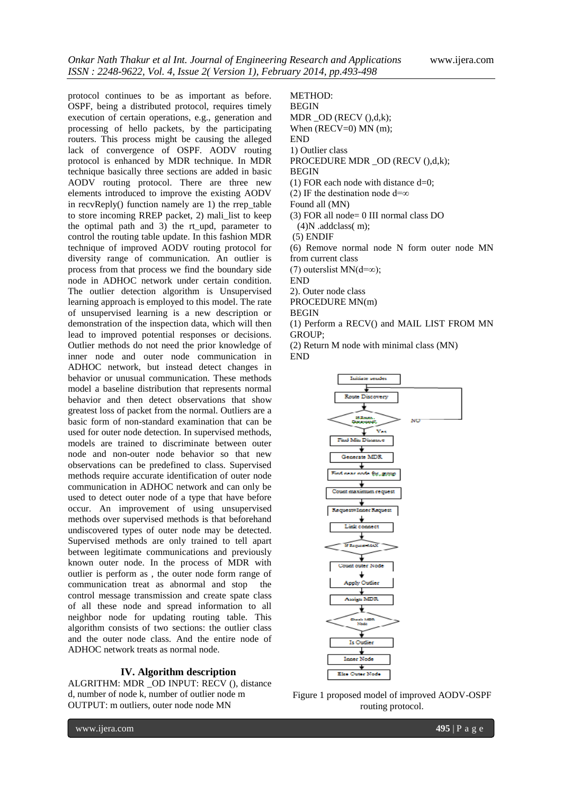protocol continues to be as important as before. OSPF, being a distributed protocol, requires timely execution of certain operations, e.g., generation and processing of hello packets, by the participating routers. This process might be causing the alleged lack of convergence of OSPF. AODV routing protocol is enhanced by MDR technique. In MDR technique basically three sections are added in basic AODV routing protocol. There are three new elements introduced to improve the existing AODV in recvReply() function namely are 1) the rrep\_table to store incoming RREP packet, 2) mali\_list to keep the optimal path and 3) the rt\_upd, parameter to control the routing table update. In this fashion MDR technique of improved AODV routing protocol for diversity range of communication. An outlier is process from that process we find the boundary side node in ADHOC network under certain condition. The outlier detection algorithm is Unsupervised learning approach is employed to this model. The rate of unsupervised learning is a new description or demonstration of the inspection data, which will then lead to improved potential responses or decisions. Outlier methods do not need the prior knowledge of inner node and outer node communication in ADHOC network, but instead detect changes in behavior or unusual communication. These methods model a baseline distribution that represents normal behavior and then detect observations that show greatest loss of packet from the normal. Outliers are a basic form of non-standard examination that can be used for outer node detection. In supervised methods, models are trained to discriminate between outer node and non-outer node behavior so that new observations can be predefined to class. Supervised methods require accurate identification of outer node communication in ADHOC network and can only be used to detect outer node of a type that have before occur. An improvement of using unsupervised methods over supervised methods is that beforehand undiscovered types of outer node may be detected. Supervised methods are only trained to tell apart between legitimate communications and previously known outer node. In the process of MDR with outlier is perform as , the outer node form range of communication treat as abnormal and stop the control message transmission and create spate class of all these node and spread information to all neighbor node for updating routing table. This algorithm consists of two sections: the outlier class and the outer node class. And the entire node of ADHOC network treats as normal node.

#### **IV. Algorithm description**

ALGRITHM: MDR \_OD INPUT: RECV (), distance d, number of node k, number of outlier node m OUTPUT: m outliers, outer node node MN

METHOD: **BEGIN** MDR \_OD (RECV (),d,k); When (RECV=0) MN (m); END 1) Outlier class PROCEDURE MDR OD (RECV (),d,k); BEGIN (1) FOR each node with distance  $d=0$ ; (2) IF the destination node d=∞ Found all (MN) (3) FOR all node= 0 III normal class DO (4)N .addclass( m); (5) ENDIF (6) Remove normal node N form outer node MN from current class (7) outerslist MN( $d=\infty$ ); END 2). Outer node class PROCEDURE MN(m) **BEGIN** (1) Perform a RECV() and MAIL LIST FROM MN GROUP; (2) Return M node with minimal class (MN)

END



Figure 1 proposed model of improved AODV-OSPF routing protocol.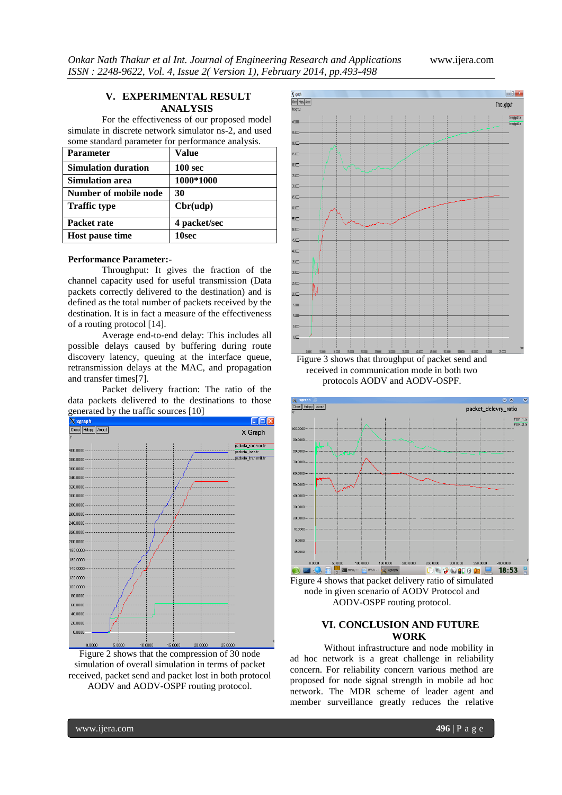### **V. EXPERIMENTAL RESULT ANALYSIS**

For the effectiveness of our proposed model simulate in discrete network simulator ns-2, and used some standard parameter for performance analysis.

| <b>Parameter</b>           | <b>Value</b>       |
|----------------------------|--------------------|
| <b>Simulation duration</b> | 100 <sub>sec</sub> |
| <b>Simulation area</b>     | 1000*1000          |
| Number of mobile node      | 30                 |
| <b>Traffic type</b>        | Chr(udp)           |
| Packet rate                | 4 packet/sec       |
| Host pause time            | 10sec              |

#### **Performance Parameter:-**

Throughput: It gives the fraction of the channel capacity used for useful transmission (Data packets correctly delivered to the destination) and is defined as the total number of packets received by the destination. It is in fact a measure of the effectiveness of a routing protocol [14].

Average end-to-end delay: This includes all possible delays caused by buffering during route discovery latency, queuing at the interface queue, retransmission delays at the MAC, and propagation and transfer times[7].

Packet delivery fraction: The ratio of the data packets delivered to the destinations to those generated by the traffic sources [10]



Figure 2 shows that the compression of 30 node simulation of overall simulation in terms of packet received, packet send and packet lost in both protocol AODV and AODV-OSPF routing protocol.



Figure 3 shows that throughput of packet send and received in communication mode in both two protocols AODV and AODV-OSPF.



Figure 4 shows that packet delivery ratio of simulated node in given scenario of AODV Protocol and AODV-OSPF routing protocol.

# **VI. CONCLUSION AND FUTURE WORK**

Without infrastructure and node mobility in ad hoc network is a great challenge in reliability concern. For reliability concern various method are proposed for node signal strength in mobile ad hoc network. The MDR scheme of leader agent and member surveillance greatly reduces the relative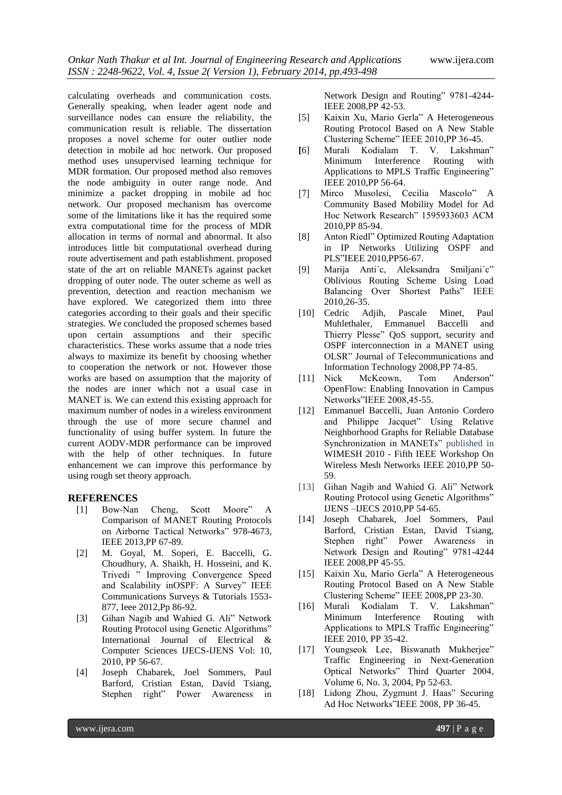calculating overheads and communication costs. Generally speaking, when leader agent node and surveillance nodes can ensure the reliability, the communication result is reliable. The dissertation proposes a novel scheme for outer outlier node detection in mobile ad hoc network. Our proposed method uses unsupervised learning technique for MDR formation. Our proposed method also removes the node ambiguity in outer range node. And minimize a packet dropping in mobile ad hoc network. Our proposed mechanism has overcome some of the limitations like it has the required some extra computational time for the process of MDR allocation in terms of normal and abnormal. It also introduces little bit computational overhead during route advertisement and path establishment. proposed state of the art on reliable MANETs against packet dropping of outer node. The outer scheme as well as prevention, detection and reaction mechanism we have explored. We categorized them into three categories according to their goals and their specific strategies. We concluded the proposed schemes based upon certain assumptions and their specific characteristics. These works assume that a node tries always to maximize its benefit by choosing whether to cooperation the network or not. However those works are based on assumption that the majority of the nodes are inner which not a usual case in MANET is. We can extend this existing approach for maximum number of nodes in a wireless environment through the use of more secure channel and functionality of using buffer system. In future the current AODV-MDR performance can be improved with the help of other techniques. In future enhancement we can improve this performance by using rough set theory approach.

# **REFERENCES**

- [1] Bow-Nan Cheng, Scott Moore" A Comparison of MANET Routing Protocols on Airborne Tactical Networks" 978-4673, IEEE 2013,PP 67-89.
- [2] M. Goyal, M. Soperi, E. Baccelli, G. Choudhury, A. Shaikh, H. Hosseini, and K. Trivedi " Improving Convergence Speed and Scalability inOSPF: A Survey" IEEE Communications Surveys & Tutorials 1553- 877, Ieee 2012,Pp 86-92.
- [3] Gihan Nagib and Wahied G. Ali" Network Routing Protocol using Genetic Algorithms" International Journal of Electrical & Computer Sciences IJECS-IJENS Vol: 10, 2010, PP 56-67.
- [4] Joseph Chabarek, Joel Sommers, Paul Barford, Cristian Estan, David Tsiang, Stephen right" Power Awareness in

Network Design and Routing" 9781-4244- IEEE 2008,PP 42-53.

- [5] Kaixin Xu, Mario Gerla" A Heterogeneous Routing Protocol Based on A New Stable Clustering Scheme" IEEE 2010,PP 36-45.
- **[**6] Murali Kodialam T. V. Lakshman" Minimum Interference Routing with Applications to MPLS Traffic Engineering" IEEE 2010,PP 56-64.
- [7] Mirco Musolesi, Cecilia Mascolo" A Community Based Mobility Model for Ad Hoc Network Research" 1595933603 ACM 2010,PP 85-94.
- [8] Anton Riedl" Optimized Routing Adaptation in IP Networks Utilizing OSPF and PLS"IEEE 2010,PP56-67.
- [9] Marija Anti´c, Aleksandra Smiljani´c" Oblivious Routing Scheme Using Load Balancing Over Shortest Paths" IEEE 2010,26-35.
- [10] Cedric Adjih, Pascale Minet, Paul Muhlethaler, Emmanuel Baccelli and Thierry Plesse" QoS support, security and OSPF interconnection in a MANET using OLSR" Journal of Telecommunications and Information Technology 2008,PP 74-85.
- [11] Nick McKeown, Tom Anderson" OpenFlow: Enabling Innovation in Campus Networks"IEEE 2008,45-55.
- [12] Emmanuel Baccelli, Juan Antonio Cordero and Philippe Jacquet" Using Relative Neighborhood Graphs for Reliable Database Synchronization in MANETs" published in WIMESH 2010 - Fifth IEEE Workshop On Wireless Mesh Networks IEEE 2010,PP 50- 59.
- [13] Gihan Nagib and Wahied G. Ali" Network Routing Protocol using Genetic Algorithms" IJENS –IJECS 2010,PP 54-65.
- [14] Joseph Chabarek, Joel Sommers, Paul Barford, Cristian Estan, David Tsiang, Stephen right" Power Awareness in Network Design and Routing" 9781-4244 IEEE 2008,PP 45-55.
- [15] Kaixin Xu, Mario Gerla" A Heterogeneous Routing Protocol Based on A New Stable Clustering Scheme" IEEE 2008**,**PP 23-30.
- [16] Murali Kodialam T. V. Lakshman" Minimum Interference Routing with Applications to MPLS Traffic Engineering" IEEE 2010, PP 35-42.
- [17] Youngseok Lee, Biswanath Mukherjee" Traffic Engineering in Next-Generation Optical Networks" Third Quarter 2004, Volume 6, No. 3, 2004, Pp 52-63.
- [18] Lidong Zhou, Zygmunt J. Haas" Securing Ad Hoc Networks"IEEE 2008, PP 36-45.